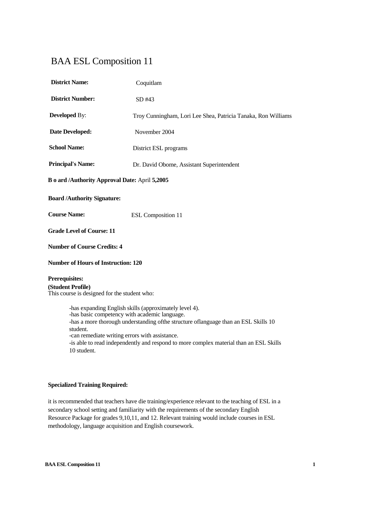# BAA ESL Composition 11

| <b>District Name:</b>                                                                                       | Coquitlam                                                                                                                                       |  |
|-------------------------------------------------------------------------------------------------------------|-------------------------------------------------------------------------------------------------------------------------------------------------|--|
| <b>District Number:</b>                                                                                     | SD#43                                                                                                                                           |  |
| <b>Developed By:</b>                                                                                        | Troy Cunningham, Lori Lee Shea, Patricia Tanaka, Ron Williams                                                                                   |  |
| <b>Date Developed:</b>                                                                                      | November 2004                                                                                                                                   |  |
| <b>School Name:</b>                                                                                         | District ESL programs                                                                                                                           |  |
| <b>Principal's Name:</b>                                                                                    | Dr. David Obome, Assistant Superintendent                                                                                                       |  |
| B o ard /Authority Approval Date: April 5,2005                                                              |                                                                                                                                                 |  |
| <b>Board /Authority Signature:</b>                                                                          |                                                                                                                                                 |  |
| <b>Course Name:</b>                                                                                         | <b>ESL Composition 11</b>                                                                                                                       |  |
| <b>Grade Level of Course: 11</b>                                                                            |                                                                                                                                                 |  |
| <b>Number of Course Credits: 4</b>                                                                          |                                                                                                                                                 |  |
| <b>Number of Hours of Instruction: 120</b>                                                                  |                                                                                                                                                 |  |
| <b>Prerequisites:</b><br>(Student Profile)<br>This course is designed for the student who:                  |                                                                                                                                                 |  |
| -has basic competency with academic language.<br>student.<br>-can remediate writing errors with assistance. | -has expanding English skills (approximately level 4).<br>-has a more thorough understanding of the structure of language than an ESL Skills 10 |  |

-is able to read independently and respond to more complex material than an ESL Skills 10 student.

## **Specialized Training Required:**

it is recommended that teachers have die training/experience relevant to the teaching of ESL in a secondary school setting and familiarity with the requirements of the secondary English Resource Package for grades 9,10,11, and 12. Relevant training would include courses in ESL methodology, language acquisition and English coursework.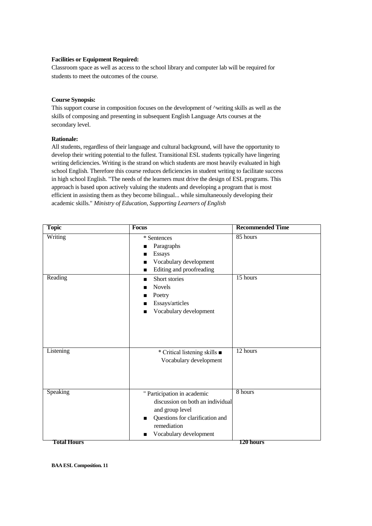## **Facilities or Equipment Required:**

Classroom space as well as access to the school library and computer lab will be required for students to meet the outcomes of the course.

# **Course Synopsis:**

This support course in composition focuses on the development of  $\wedge$  writing skills as well as the skills of composing and presenting in subsequent English Language Arts courses at the secondary level.

# **Rationale:**

All students, regardless of their language and cultural background, will have the opportunity to develop their writing potential to the fullest. Transitional ESL students typically have lingering writing deficiencies. Writing is the strand on which students are most heavily evaluated in high school English. Therefore this course reduces deficiencies in student writing to facilitate success in high school English. "The needs of the learners must drive the design of ESL programs. This approach is based upon actively valuing the students and developing a program that is most efficient in assisting them as they become bilingual... while simultaneously developing their academic skills." *Ministry of Education, Supporting Learners of English*

| <b>Topic</b> | <b>Focus</b>                                                                                                                                                             | <b>Recommended Time</b> |
|--------------|--------------------------------------------------------------------------------------------------------------------------------------------------------------------------|-------------------------|
| Writing      | * Sentences<br>Paragraphs<br>■<br><b>Essays</b><br>Vocabulary development<br>■<br>Editing and proofreading<br>П                                                          | 85 hours                |
| Reading      | Short stories<br>п<br><b>Novels</b><br>▬<br>Poetry<br>Essays/articles<br>Vocabulary development<br>■                                                                     | 15 hours                |
| Listening    | * Critical listening skills $\blacksquare$<br>Vocabulary development                                                                                                     | 12 hours                |
| Speaking     | " Participation in academic<br>discussion on both an individual<br>and group level<br>Questions for clarification and<br>П<br>remediation<br>Vocabulary development<br>п | 8 hours                 |
| Total Hours  |                                                                                                                                                                          | 120 hours               |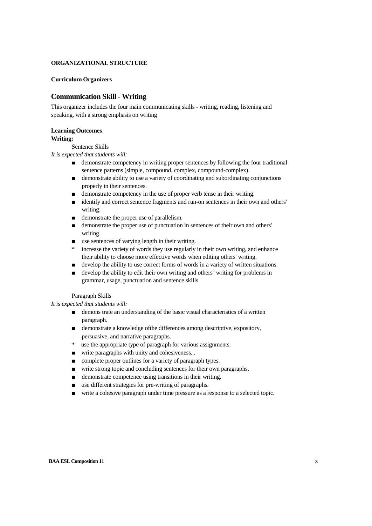#### **ORGANIZATIONAL STRUCTURE**

#### **Curriculum Organizers**

# **Communication Skill - Writing**

This organizer includes the four main communicating skills - writing, reading, listening and speaking, with a strong emphasis on writing

#### **Learning Outcomes**

#### **Writing:**

Sentence Skills

*It is expected that students will:*

- demonstrate competency in writing proper sentences by following the four traditional sentence patterns (simple, compound, complex, compound-complex).
- demonstrate ability to use a variety of coordinating and subordinating conjunctions properly in their sentences.
- demonstrate competency in the use of proper verb tense in their writing.
- identify and correct sentence fragments and run-on sentences in their own and others' writing.
- demonstrate the proper use of parallelism.
- demonstrate the proper use of punctuation in sentences of their own and others' writing.
- use sentences of varying length in their writing.
- increase the variety of words they use regularly in their own writing, and enhance their ability to choose more effective words when editing others' writing.
- develop the ability to use correct forms of words in a variety of written situations.
- $\alpha$  develop the ability to edit their own writing and others<sup>4</sup> writing for problems in grammar, usage, punctuation and sentence skills.

#### Paragraph Skills

*It is expected that students will:*

- demons trate an understanding of the basic visual characteristics of a written paragraph.
- demonstrate a knowledge of the differences among descriptive, expository, persuasive, and narrative paragraphs.
- use the appropriate type of paragraph for various assignments.
- write paragraphs with unity and cohesiveness. .
- complete proper outlines for a variety of paragraph types.
- write strong topic and concluding sentences for their own paragraphs.
- demonstrate competence using transitions in their writing.
- use different strategies for pre-writing of paragraphs.
- write a cohesive paragraph under time pressure as a response to a selected topic.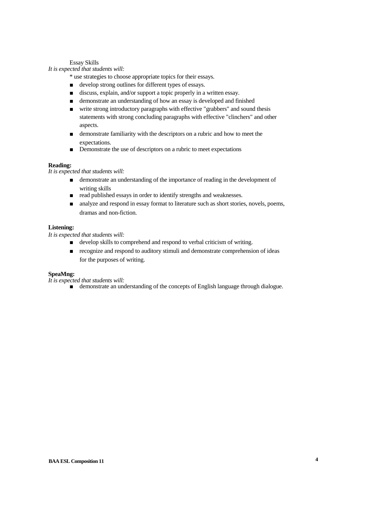Essay Skills

*It is expected that students will:*

\* use strategies to choose appropriate topics for their essays.

- develop strong outlines for different types of essays.
- discuss, explain, and/or support a topic properly in a written essay.
- demonstrate an understanding of how an essay is developed and finished
- write strong introductory paragraphs with effective "grabbers" and sound thesis statements with strong concluding paragraphs with effective "clinchers" and other aspects.
- demonstrate familiarity with the descriptors on a rubric and how to meet the expectations.
- Demonstrate the use of descriptors on a rubric to meet expectations

#### **Reading:**

*It is expected that students will:*

- demonstrate an understanding of the importance of reading in the development of writing skills
- read published essays in order to identify strengths and weaknesses.
- analyze and respond in essay format to literature such as short stories, novels, poems, dramas and non-fiction.

#### **Listening:**

*It is expected that students will:*

- develop skills to comprehend and respond to verbal criticism of writing.
- recognize and respond to auditory stimuli and demonstrate comprehension of ideas for the purposes of writing.

#### **SpeaMng:**

*It is expected that students will:*

■ demonstrate an understanding of the concepts of English language through dialogue.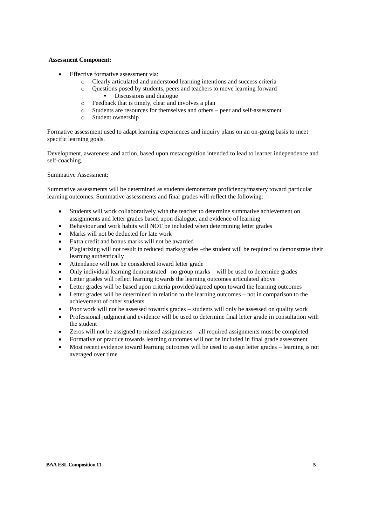#### **Assessment Component:**

- Effective formative assessment via:
	- o Clearly articulated and understood learning intentions and success criteria
	- o Questions posed by students, peers and teachers to move learning forward Discussions and dialogue
	- o Feedback that is timely, clear and involves a plan
	- o Students are resources for themselves and others peer and self-assessment
	- o Student ownership

Formative assessment used to adapt learning experiences and inquiry plans on an on-going basis to meet specific learning goals.

Development, awareness and action, based upon metacognition intended to lead to learner independence and self-coaching.

Summative Assessment:

Summative assessments will be determined as students demonstrate proficiency/mastery toward particular learning outcomes. Summative assessments and final grades will reflect the following:

- Students will work collaboratively with the teacher to determine summative achievement on assignments and letter grades based upon dialogue, and evidence of learning
- Behaviour and work habits will NOT be included when determining letter grades
- Marks will not be deducted for late work
- Extra credit and bonus marks will not be awarded
- Plagiarizing will not result in reduced marks/grades –the student will be required to demonstrate their learning authentically
- Attendance will not be considered toward letter grade
- Only individual learning demonstrated –no group marks will be used to determine grades
- Letter grades will reflect learning towards the learning outcomes articulated above
- Letter grades will be based upon criteria provided/agreed upon toward the learning outcomes
- Letter grades will be determined in relation to the learning outcomes not in comparison to the achievement of other students
- Poor work will not be assessed towards grades students will only be assessed on quality work
- Professional judgment and evidence will be used to determine final letter grade in consultation with the student
- Zeros will not be assigned to missed assignments all required assignments must be completed
- Formative or practice towards learning outcomes will not be included in final grade assessment
- Most recent evidence toward learning outcomes will be used to assign letter grades learning is not averaged over time